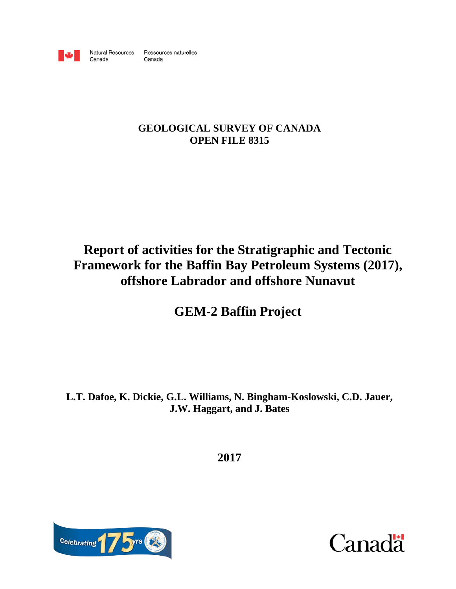

Canada

Natural Resources Ressources naturelles Canada

# **GEOLOGICAL SURVEY OF CANADA OPEN FILE 8315**

# **Report of activities for the Stratigraphic and Tectonic Framework for the Baffin Bay Petroleum Systems (2017), offshore Labrador and offshore Nunavut**

**GEM-2 Baffin Project**

**L.T. Dafoe, K. Dickie, G.L. Williams, N. Bingham-Koslowski, C.D. Jauer, J.W. Haggart, and J. Bates**

**2017**



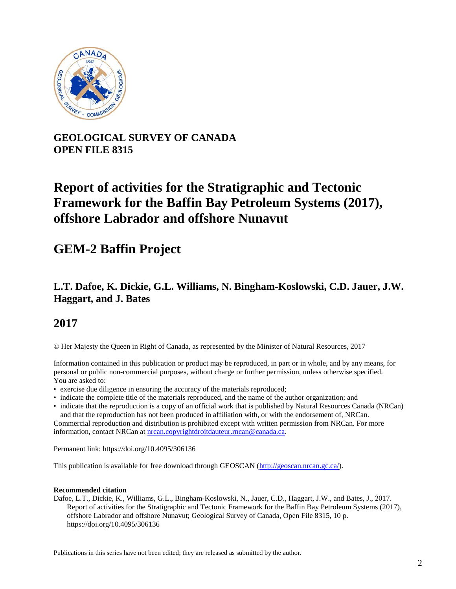

# **GEOLOGICAL SURVEY OF CANADA OPEN FILE 8315**

# **Report of activities for the Stratigraphic and Tectonic Framework for the Baffin Bay Petroleum Systems (2017), offshore Labrador and offshore Nunavut**

# **GEM-2 Baffin Project**

# **L.T. Dafoe, K. Dickie, G.L. Williams, N. Bingham-Koslowski, C.D. Jauer, J.W. Haggart, and J. Bates**

# **2017**

© Her Majesty the Queen in Right of Canada, as represented by the Minister of Natural Resources, 2017

Information contained in this publication or product may be reproduced, in part or in whole, and by any means, for personal or public non-commercial purposes, without charge or further permission, unless otherwise specified. You are asked to:

- exercise due diligence in ensuring the accuracy of the materials reproduced;
- indicate the complete title of the materials reproduced, and the name of the author organization; and
- indicate that the reproduction is a copy of an official work that is published by Natural Resources Canada (NRCan) and that the reproduction has not been produced in affiliation with, or with the endorsement of, NRCan.

Commercial reproduction and distribution is prohibited except with written permission from NRCan. For more information, contact NRCan at [nrcan.copyrightdroitdauteur.rncan@canada.ca.](mailto:nrcan.copyrightdroitdauteur.rncan@canada.ca)

Permanent link: https://doi.org/10.4095/306136

This publication is available for free download through GEOSCAN [\(http://geoscan.nrcan.gc.ca/\)](http://geoscan.nrcan.gc.ca/).

#### **Recommended citation**

Dafoe, L.T., Dickie, K., Williams, G.L., Bingham-Koslowski, N., Jauer, C.D., Haggart, J.W., and Bates, J., 2017. Report of activities for the Stratigraphic and Tectonic Framework for the Baffin Bay Petroleum Systems (2017), offshore Labrador and offshore Nunavut; Geological Survey of Canada, Open File 8315, 10 p. https://doi.org/10.4095/306136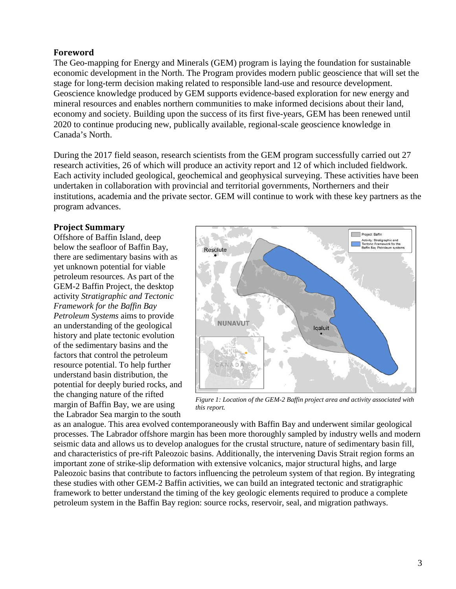## **Foreword**

The Geo-mapping for Energy and Minerals (GEM) program is laying the foundation for sustainable economic development in the North. The Program provides modern public geoscience that will set the stage for long-term decision making related to responsible land-use and resource development. Geoscience knowledge produced by GEM supports evidence-based exploration for new energy and mineral resources and enables northern communities to make informed decisions about their land, economy and society. Building upon the success of its first five-years, GEM has been renewed until 2020 to continue producing new, publically available, regional-scale geoscience knowledge in Canada's North.

During the 2017 field season, research scientists from the GEM program successfully carried out 27 research activities, 26 of which will produce an activity report and 12 of which included fieldwork. Each activity included geological, geochemical and geophysical surveying. These activities have been undertaken in collaboration with provincial and territorial governments, Northerners and their institutions, academia and the private sector. GEM will continue to work with these key partners as the program advances.

## **Project Summary**

Offshore of Baffin Island, deep below the seafloor of Baffin Bay, there are sedimentary basins with as yet unknown potential for viable petroleum resources. As part of the GEM-2 Baffin Project, the desktop activity *Stratigraphic and Tectonic Framework for the Baffin Bay Petroleum Systems* aims to provide an understanding of the geological history and plate tectonic evolution of the sedimentary basins and the factors that control the petroleum resource potential. To help further understand basin distribution, the potential for deeply buried rocks, and the changing nature of the rifted margin of Baffin Bay, we are using the Labrador Sea margin to the south



*Figure 1: Location of the GEM-2 Baffin project area and activity associated with this report.*

as an analogue. This area evolved contemporaneously with Baffin Bay and underwent similar geological processes. The Labrador offshore margin has been more thoroughly sampled by industry wells and modern seismic data and allows us to develop analogues for the crustal structure, nature of sedimentary basin fill, and characteristics of pre-rift Paleozoic basins. Additionally, the intervening Davis Strait region forms an important zone of strike-slip deformation with extensive volcanics, major structural highs, and large Paleozoic basins that contribute to factors influencing the petroleum system of that region. By integrating these studies with other GEM-2 Baffin activities, we can build an integrated tectonic and stratigraphic framework to better understand the timing of the key geologic elements required to produce a complete petroleum system in the Baffin Bay region: source rocks, reservoir, seal, and migration pathways.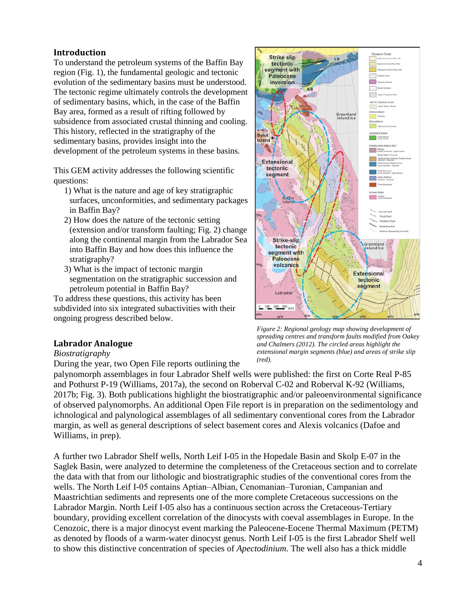## **Introduction**

To understand the petroleum systems of the Baffin Bay region (Fig. 1), the fundamental geologic and tectonic evolution of the sedimentary basins must be understood. The tectonic regime ultimately controls the development of sedimentary basins, which, in the case of the Baffin Bay area, formed as a result of rifting followed by subsidence from associated crustal thinning and cooling. This history, reflected in the stratigraphy of the sedimentary basins, provides insight into the development of the petroleum systems in these basins.

This GEM activity addresses the following scientific questions:

- 1) What is the nature and age of key stratigraphic surfaces, unconformities, and sedimentary packages in Baffin Bay?
- 2) How does the nature of the tectonic setting (extension and/or transform faulting; Fig. 2) change along the continental margin from the Labrador Sea into Baffin Bay and how does this influence the stratigraphy?
- 3) What is the impact of tectonic margin segmentation on the stratigraphic succession and petroleum potential in Baffin Bay?

To address these questions, this activity has been subdivided into six integrated subactivities with their ongoing progress described below.

# **Labrador Analogue**

#### *Biostratigraphy*

During the year, two Open File reports outlining the

palynomorph assemblages in four Labrador Shelf wells were published: the first on Corte Real P-85 and Pothurst P-19 (Williams, 2017a), the second on Roberval C-02 and Roberval K-92 (Williams, 2017b; Fig. 3). Both publications highlight the biostratigraphic and/or paleoenvironmental significance of observed palynomorphs. An additional Open File report is in preparation on the sedimentology and ichnological and palynological assemblages of all sedimentary conventional cores from the Labrador margin, as well as general descriptions of select basement cores and Alexis volcanics (Dafoe and Williams, in prep).

A further two Labrador Shelf wells, North Leif I-05 in the Hopedale Basin and Skolp E-07 in the Saglek Basin, were analyzed to determine the completeness of the Cretaceous section and to correlate the data with that from our lithologic and biostratigraphic studies of the conventional cores from the wells. The North Leif I-05 contains Aptian–Albian, Cenomanian–Turonian, Campanian and Maastrichtian sediments and represents one of the more complete Cretaceous successions on the Labrador Margin. North Leif I-05 also has a continuous section across the Cretaceous-Tertiary boundary, providing excellent correlation of the dinocysts with coeval assemblages in Europe. In the Cenozoic, there is a major dinocyst event marking the Paleocene-Eocene Thermal Maximum (PETM) as denoted by floods of a warm-water dinocyst genus. North Leif I-05 is the first Labrador Shelf well to show this distinctive concentration of species of *Apectodinium*. The well also has a thick middle



*Figure 2: Regional geology map showing development of spreading centres and transform faults modified from Oakey and Chalmers (2012). The circled areas highlight the extensional margin segments (blue) and areas of strike slip (red).*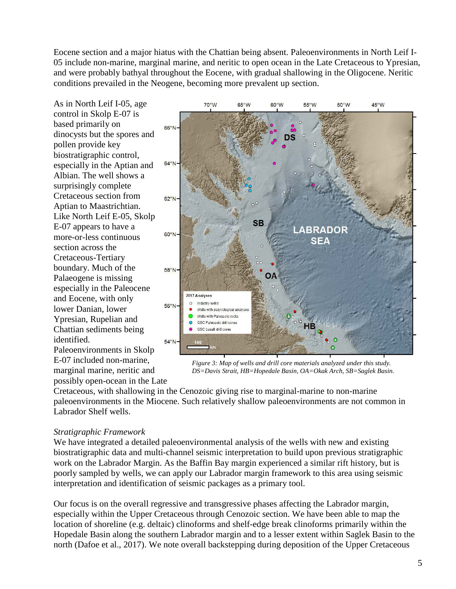Eocene section and a major hiatus with the Chattian being absent. Paleoenvironments in North Leif I-05 include non-marine, marginal marine, and neritic to open ocean in the Late Cretaceous to Ypresian, and were probably bathyal throughout the Eocene, with gradual shallowing in the Oligocene. Neritic conditions prevailed in the Neogene, becoming more prevalent up section.

As in North Leif I-05, age control in Skolp E-07 is based primarily on dinocysts but the spores and pollen provide key biostratigraphic control, especially in the Aptian and Albian. The well shows a surprisingly complete Cretaceous section from Aptian to Maastrichtian. Like North Leif E-05, Skolp E-07 appears to have a more-or-less continuous section across the Cretaceous-Tertiary boundary. Much of the Palaeogene is missing especially in the Paleocene and Eocene, with only lower Danian, lower Ypresian, Rupelian and Chattian sediments being identified.

Paleoenvironments in Skolp E-07 included non-marine, marginal marine, neritic and possibly open-ocean in the Late



*Figure 3: Map of wells and drill core materials analyzed under this study. DS=Davis Strait, HB=Hopedale Basin, OA=Okak Arch, SB=Saglek Basin.*

Cretaceous, with shallowing in the Cenozoic giving rise to marginal-marine to non-marine paleoenvironments in the Miocene. Such relatively shallow paleoenvironments are not common in Labrador Shelf wells.

#### *Stratigraphic Framework*

We have integrated a detailed paleoenvironmental analysis of the wells with new and existing biostratigraphic data and multi-channel seismic interpretation to build upon previous stratigraphic work on the Labrador Margin. As the Baffin Bay margin experienced a similar rift history, but is poorly sampled by wells, we can apply our Labrador margin framework to this area using seismic interpretation and identification of seismic packages as a primary tool.

Our focus is on the overall regressive and transgressive phases affecting the Labrador margin, especially within the Upper Cretaceous through Cenozoic section. We have been able to map the location of shoreline (e.g. deltaic) clinoforms and shelf-edge break clinoforms primarily within the Hopedale Basin along the southern Labrador margin and to a lesser extent within Saglek Basin to the north (Dafoe et al., 2017). We note overall backstepping during deposition of the Upper Cretaceous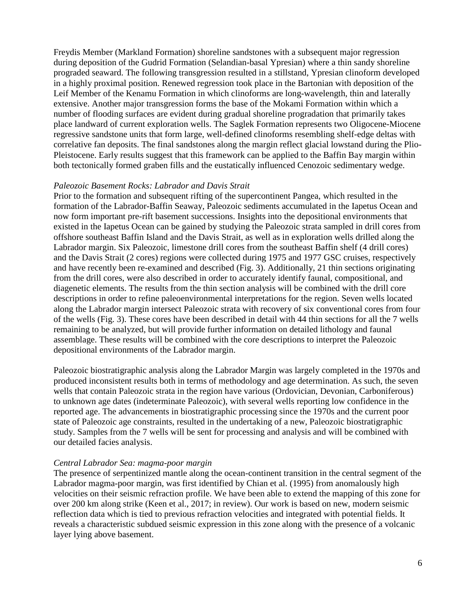Freydis Member (Markland Formation) shoreline sandstones with a subsequent major regression during deposition of the Gudrid Formation (Selandian-basal Ypresian) where a thin sandy shoreline prograded seaward. The following transgression resulted in a stillstand, Ypresian clinoform developed in a highly proximal position. Renewed regression took place in the Bartonian with deposition of the Leif Member of the Kenamu Formation in which clinoforms are long-wavelength, thin and laterally extensive. Another major transgression forms the base of the Mokami Formation within which a number of flooding surfaces are evident during gradual shoreline progradation that primarily takes place landward of current exploration wells. The Saglek Formation represents two Oligocene-Miocene regressive sandstone units that form large, well-defined clinoforms resembling shelf-edge deltas with correlative fan deposits. The final sandstones along the margin reflect glacial lowstand during the Plio-Pleistocene. Early results suggest that this framework can be applied to the Baffin Bay margin within both tectonically formed graben fills and the eustatically influenced Cenozoic sedimentary wedge.

#### *Paleozoic Basement Rocks: Labrador and Davis Strait*

Prior to the formation and subsequent rifting of the supercontinent Pangea, which resulted in the formation of the Labrador-Baffin Seaway, Paleozoic sediments accumulated in the Iapetus Ocean and now form important pre-rift basement successions. Insights into the depositional environments that existed in the Iapetus Ocean can be gained by studying the Paleozoic strata sampled in drill cores from offshore southeast Baffin Island and the Davis Strait, as well as in exploration wells drilled along the Labrador margin. Six Paleozoic, limestone drill cores from the southeast Baffin shelf (4 drill cores) and the Davis Strait (2 cores) regions were collected during 1975 and 1977 GSC cruises, respectively and have recently been re-examined and described (Fig. 3). Additionally, 21 thin sections originating from the drill cores, were also described in order to accurately identify faunal, compositional, and diagenetic elements. The results from the thin section analysis will be combined with the drill core descriptions in order to refine paleoenvironmental interpretations for the region. Seven wells located along the Labrador margin intersect Paleozoic strata with recovery of six conventional cores from four of the wells (Fig. 3). These cores have been described in detail with 44 thin sections for all the 7 wells remaining to be analyzed, but will provide further information on detailed lithology and faunal assemblage. These results will be combined with the core descriptions to interpret the Paleozoic depositional environments of the Labrador margin.

Paleozoic biostratigraphic analysis along the Labrador Margin was largely completed in the 1970s and produced inconsistent results both in terms of methodology and age determination. As such, the seven wells that contain Paleozoic strata in the region have various (Ordovician, Devonian, Carboniferous) to unknown age dates (indeterminate Paleozoic), with several wells reporting low confidence in the reported age. The advancements in biostratigraphic processing since the 1970s and the current poor state of Paleozoic age constraints, resulted in the undertaking of a new, Paleozoic biostratigraphic study. Samples from the 7 wells will be sent for processing and analysis and will be combined with our detailed facies analysis.

#### *Central Labrador Sea: magma-poor margin*

The presence of serpentinized mantle along the ocean-continent transition in the central segment of the Labrador magma-poor margin, was first identified by Chian et al. (1995) from anomalously high velocities on their seismic refraction profile. We have been able to extend the mapping of this zone for over 200 km along strike (Keen et al., 2017; in review). Our work is based on new, modern seismic reflection data which is tied to previous refraction velocities and integrated with potential fields. It reveals a characteristic subdued seismic expression in this zone along with the presence of a volcanic layer lying above basement.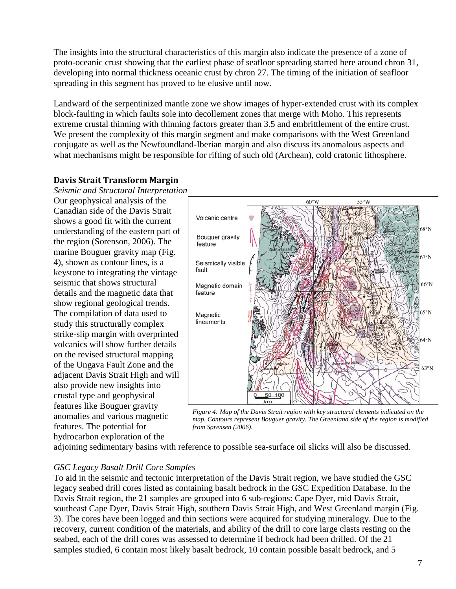The insights into the structural characteristics of this margin also indicate the presence of a zone of proto-oceanic crust showing that the earliest phase of seafloor spreading started here around chron 31, developing into normal thickness oceanic crust by chron 27. The timing of the initiation of seafloor spreading in this segment has proved to be elusive until now.

Landward of the serpentinized mantle zone we show images of hyper-extended crust with its complex block-faulting in which faults sole into decollement zones that merge with Moho. This represents extreme crustal thinning with thinning factors greater than 3.5 and embrittlement of the entire crust. We present the complexity of this margin segment and make comparisons with the West Greenland conjugate as well as the Newfoundland-Iberian margin and also discuss its anomalous aspects and what mechanisms might be responsible for rifting of such old (Archean), cold cratonic lithosphere.

# **Davis Strait Transform Margin**

*Seismic and Structural Interpretation* Our geophysical analysis of the Canadian side of the Davis Strait shows a good fit with the current understanding of the eastern part of the region (Sorenson, 2006). The marine Bouguer gravity map (Fig. 4), shown as contour lines, is a keystone to integrating the vintage seismic that shows structural details and the magnetic data that show regional geological trends. The compilation of data used to study this structurally complex strike-slip margin with overprinted volcanics will show further details on the revised structural mapping of the Ungava Fault Zone and the adjacent Davis Strait High and will also provide new insights into crustal type and geophysical features like Bouguer gravity anomalies and various magnetic features. The potential for hydrocarbon exploration of the



*Figure 4: Map of the Davis Strait region with key structural elements indicated on the map. Contours represent Bouguer gravity. The Greenland side of the region is modified from Sørensen (2006).*

adjoining sedimentary basins with reference to possible sea-surface oil slicks will also be discussed.

# *GSC Legacy Basalt Drill Core Samples*

To aid in the seismic and tectonic interpretation of the Davis Strait region, we have studied the GSC legacy seabed drill cores listed as containing basalt bedrock in the GSC Expedition Database. In the Davis Strait region, the 21 samples are grouped into 6 sub-regions: Cape Dyer, mid Davis Strait, southeast Cape Dyer, Davis Strait High, southern Davis Strait High, and West Greenland margin (Fig. 3). The cores have been logged and thin sections were acquired for studying mineralogy. Due to the recovery, current condition of the materials, and ability of the drill to core large clasts resting on the seabed, each of the drill cores was assessed to determine if bedrock had been drilled. Of the 21 samples studied, 6 contain most likely basalt bedrock, 10 contain possible basalt bedrock, and 5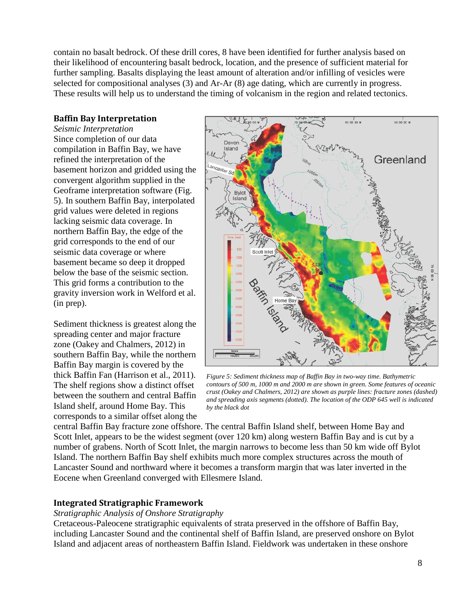contain no basalt bedrock. Of these drill cores, 8 have been identified for further analysis based on their likelihood of encountering basalt bedrock, location, and the presence of sufficient material for further sampling. Basalts displaying the least amount of alteration and/or infilling of vesicles were selected for compositional analyses (3) and Ar-Ar (8) age dating, which are currently in progress. These results will help us to understand the timing of volcanism in the region and related tectonics.

# **Baffin Bay Interpretation**

*Seismic Interpretation* Since completion of our data compilation in Baffin Bay, we have refined the interpretation of the basement horizon and gridded using the convergent algorithm supplied in the Geoframe interpretation software (Fig. 5). In southern Baffin Bay, interpolated grid values were deleted in regions lacking seismic data coverage. In northern Baffin Bay, the edge of the grid corresponds to the end of our seismic data coverage or where basement became so deep it dropped below the base of the seismic section. This grid forms a contribution to the gravity inversion work in Welford et al. (in prep).

Sediment thickness is greatest along the spreading center and major fracture zone (Oakey and Chalmers, 2012) in southern Baffin Bay, while the northern Baffin Bay margin is covered by the thick Baffin Fan (Harrison et al., 2011). The shelf regions show a distinct offset between the southern and central Baffin Island shelf, around Home Bay. This corresponds to a similar offset along the



*Figure 5: Sediment thickness map of Baffin Bay in two-way time. Bathymetric contours of 500 m, 1000 m and 2000 m are shown in green. Some features of oceanic crust (Oakey and Chalmers, 2012) are shown as purple lines: fracture zones (dashed) and spreading axis segments (dotted). The location of the ODP 645 well is indicated by the black dot*

central Baffin Bay fracture zone offshore. The central Baffin Island shelf, between Home Bay and Scott Inlet, appears to be the widest segment (over 120 km) along western Baffin Bay and is cut by a number of grabens. North of Scott Inlet, the margin narrows to become less than 50 km wide off Bylot Island. The northern Baffin Bay shelf exhibits much more complex structures across the mouth of Lancaster Sound and northward where it becomes a transform margin that was later inverted in the Eocene when Greenland converged with Ellesmere Island.

# **Integrated Stratigraphic Framework**

#### *Stratigraphic Analysis of Onshore Stratigraphy*

Cretaceous-Paleocene stratigraphic equivalents of strata preserved in the offshore of Baffin Bay, including Lancaster Sound and the continental shelf of Baffin Island, are preserved onshore on Bylot Island and adjacent areas of northeastern Baffin Island. Fieldwork was undertaken in these onshore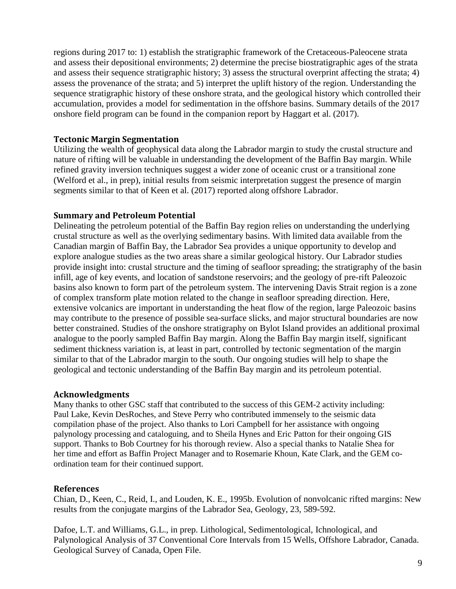regions during 2017 to: 1) establish the stratigraphic framework of the Cretaceous-Paleocene strata and assess their depositional environments; 2) determine the precise biostratigraphic ages of the strata and assess their sequence stratigraphic history; 3) assess the structural overprint affecting the strata; 4) assess the provenance of the strata; and 5) interpret the uplift history of the region. Understanding the sequence stratigraphic history of these onshore strata, and the geological history which controlled their accumulation, provides a model for sedimentation in the offshore basins. Summary details of the 2017 onshore field program can be found in the companion report by Haggart et al. (2017).

## **Tectonic Margin Segmentation**

Utilizing the wealth of geophysical data along the Labrador margin to study the crustal structure and nature of rifting will be valuable in understanding the development of the Baffin Bay margin. While refined gravity inversion techniques suggest a wider zone of oceanic crust or a transitional zone (Welford et al., in prep), initial results from seismic interpretation suggest the presence of margin segments similar to that of Keen et al. (2017) reported along offshore Labrador.

## **Summary and Petroleum Potential**

Delineating the petroleum potential of the Baffin Bay region relies on understanding the underlying crustal structure as well as the overlying sedimentary basins. With limited data available from the Canadian margin of Baffin Bay, the Labrador Sea provides a unique opportunity to develop and explore analogue studies as the two areas share a similar geological history. Our Labrador studies provide insight into: crustal structure and the timing of seafloor spreading; the stratigraphy of the basin infill, age of key events, and location of sandstone reservoirs; and the geology of pre-rift Paleozoic basins also known to form part of the petroleum system. The intervening Davis Strait region is a zone of complex transform plate motion related to the change in seafloor spreading direction. Here, extensive volcanics are important in understanding the heat flow of the region, large Paleozoic basins may contribute to the presence of possible sea-surface slicks, and major structural boundaries are now better constrained. Studies of the onshore stratigraphy on Bylot Island provides an additional proximal analogue to the poorly sampled Baffin Bay margin. Along the Baffin Bay margin itself, significant sediment thickness variation is, at least in part, controlled by tectonic segmentation of the margin similar to that of the Labrador margin to the south. Our ongoing studies will help to shape the geological and tectonic understanding of the Baffin Bay margin and its petroleum potential.

#### **Acknowledgments**

Many thanks to other GSC staff that contributed to the success of this GEM-2 activity including: Paul Lake, Kevin DesRoches, and Steve Perry who contributed immensely to the seismic data compilation phase of the project. Also thanks to Lori Campbell for her assistance with ongoing palynology processing and cataloguing, and to Sheila Hynes and Eric Patton for their ongoing GIS support. Thanks to Bob Courtney for his thorough review. Also a special thanks to Natalie Shea for her time and effort as Baffin Project Manager and to Rosemarie Khoun, Kate Clark, and the GEM coordination team for their continued support.

#### **References**

Chian, D., Keen, C., Reid, I., and Louden, K. E., 1995b. Evolution of nonvolcanic rifted margins: New results from the conjugate margins of the Labrador Sea, Geology, 23, 589-592.

Dafoe, L.T. and Williams, G.L., in prep. Lithological, Sedimentological, Ichnological, and Palynological Analysis of 37 Conventional Core Intervals from 15 Wells, Offshore Labrador, Canada. Geological Survey of Canada, Open File.